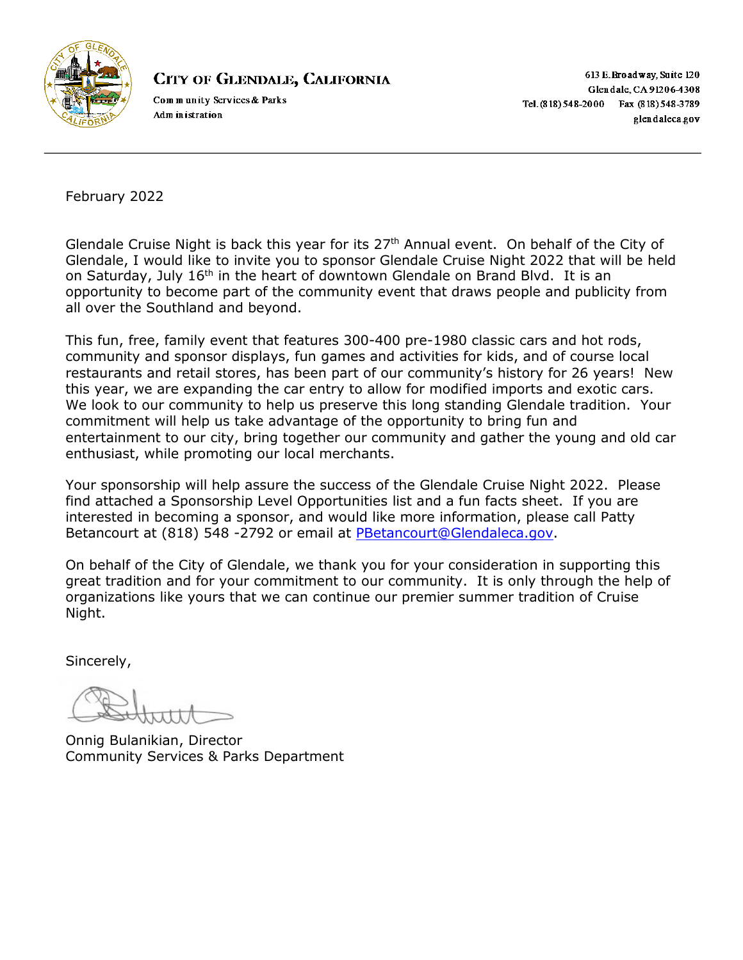

# **CITY OF GLENDALE, CALIFORNIA**

Community Services & Parks Adm in istration

613 E. Broadway, Suite 120 Glendale, CA 91206-4308 Tel. (818) 548-2000 Fax (818) 548-3789 glendaleca.gov

February 2022

Glendale Cruise Night is back this year for its 27<sup>th</sup> Annual event. On behalf of the City of Glendale, I would like to invite you to sponsor Glendale Cruise Night 2022 that will be held on Saturday, July 16<sup>th</sup> in the heart of downtown Glendale on Brand Blvd. It is an opportunity to become part of the community event that draws people and publicity from all over the Southland and beyond.

This fun, free, family event that features 300-400 pre-1980 classic cars and hot rods, community and sponsor displays, fun games and activities for kids, and of course local restaurants and retail stores, has been part of our community's history for 26 years! New this year, we are expanding the car entry to allow for modified imports and exotic cars. We look to our community to help us preserve this long standing Glendale tradition. Your commitment will help us take advantage of the opportunity to bring fun and entertainment to our city, bring together our community and gather the young and old car enthusiast, while promoting our local merchants.

Your sponsorship will help assure the success of the Glendale Cruise Night 2022. Please find attached a Sponsorship Level Opportunities list and a fun facts sheet. If you are interested in becoming a sponsor, and would like more information, please call Patty Betancourt at (818) 548 -2792 or email at [PBetancourt@Glendaleca.gov.](mailto:PBetancourt@Glendaleca.gov)

On behalf of the City of Glendale, we thank you for your consideration in supporting this great tradition and for your commitment to our community. It is only through the help of organizations like yours that we can continue our premier summer tradition of Cruise Night.

Sincerely,

Onnig Bulanikian, Director Community Services & Parks Department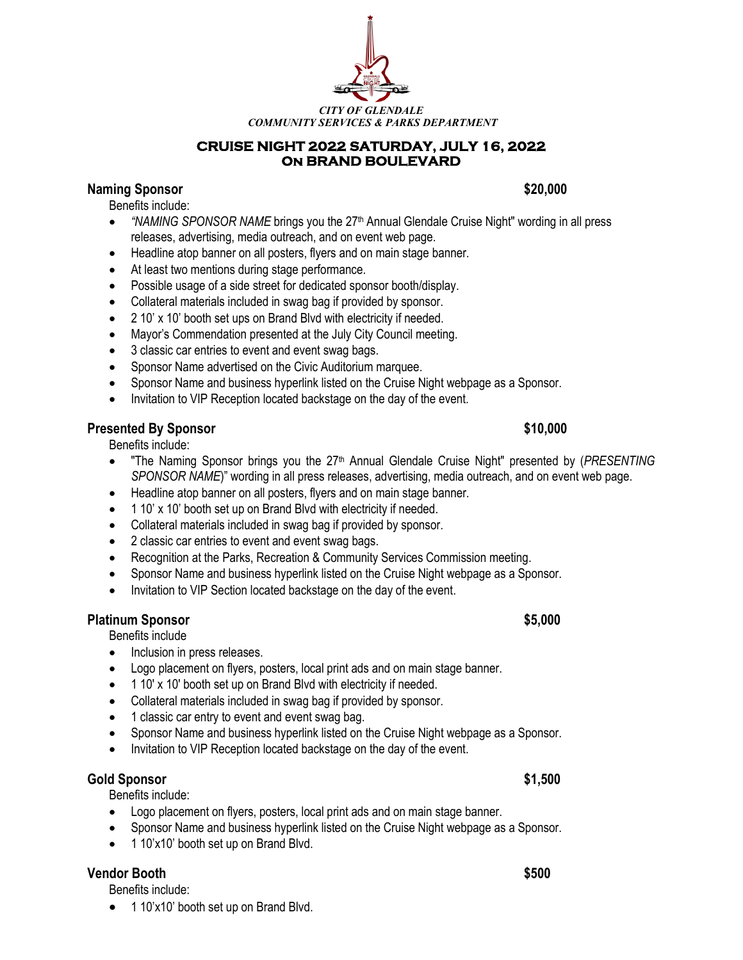*CITY OF GLENDALE COMMUNITY SERVICES & PARKS DEPARTMENT*

### **CRUISE NIGHT 2022 SATURDAY, JULY 16, 2022 On BRAND BOULEVARD**

# **Naming Sponsor \$20,000**

Benefits include:

- *"NAMING SPONSOR NAME* brings you the 27<sup>th</sup> Annual Glendale Cruise Night" wording in all press releases, advertising, media outreach, and on event web page.
- Headline atop banner on all posters, flyers and on main stage banner.
- At least two mentions during stage performance.
- Possible usage of a side street for dedicated sponsor booth/display.
- Collateral materials included in swag bag if provided by sponsor.
- 2 10' x 10' booth set ups on Brand Blvd with electricity if needed.
- Mayor's Commendation presented at the July City Council meeting.
- 3 classic car entries to event and event swag bags.
- Sponsor Name advertised on the Civic Auditorium marquee.
- Sponsor Name and business hyperlink listed on the Cruise Night webpage as a Sponsor.
- Invitation to VIP Reception located backstage on the day of the event.

# **Presented By Sponsor \$10,000**

Benefits include:

- "The Naming Sponsor brings you the 27<sup>th</sup> Annual Glendale Cruise Night" presented by (*PRESENTING SPONSOR NAME*)" wording in all press releases, advertising, media outreach, and on event web page.
- Headline atop banner on all posters, flyers and on main stage banner.
- 1 10' x 10' booth set up on Brand Blvd with electricity if needed.
- Collateral materials included in swag bag if provided by sponsor.
- 2 classic car entries to event and event swag bags.
- Recognition at the Parks, Recreation & Community Services Commission meeting.
- Sponsor Name and business hyperlink listed on the Cruise Night webpage as a Sponsor.
- Invitation to VIP Section located backstage on the day of the event.

### **Platinum Sponsor \$5,000**

Benefits include

- Inclusion in press releases.
- Logo placement on flyers, posters, local print ads and on main stage banner.
- 1 10' x 10' booth set up on Brand Blvd with electricity if needed.
- Collateral materials included in swag bag if provided by sponsor.
- 1 classic car entry to event and event swag bag.
- Sponsor Name and business hyperlink listed on the Cruise Night webpage as a Sponsor.
- Invitation to VIP Reception located backstage on the day of the event.

# **Gold Sponsor \$1,500**

Benefits include:

- Logo placement on flyers, posters, local print ads and on main stage banner.
- Sponsor Name and business hyperlink listed on the Cruise Night webpage as a Sponsor.
- 1 10'x10' booth set up on Brand Blvd.

# **Vendor Booth \$500**

Benefits include:

• 1 10'x10' booth set up on Brand Blvd.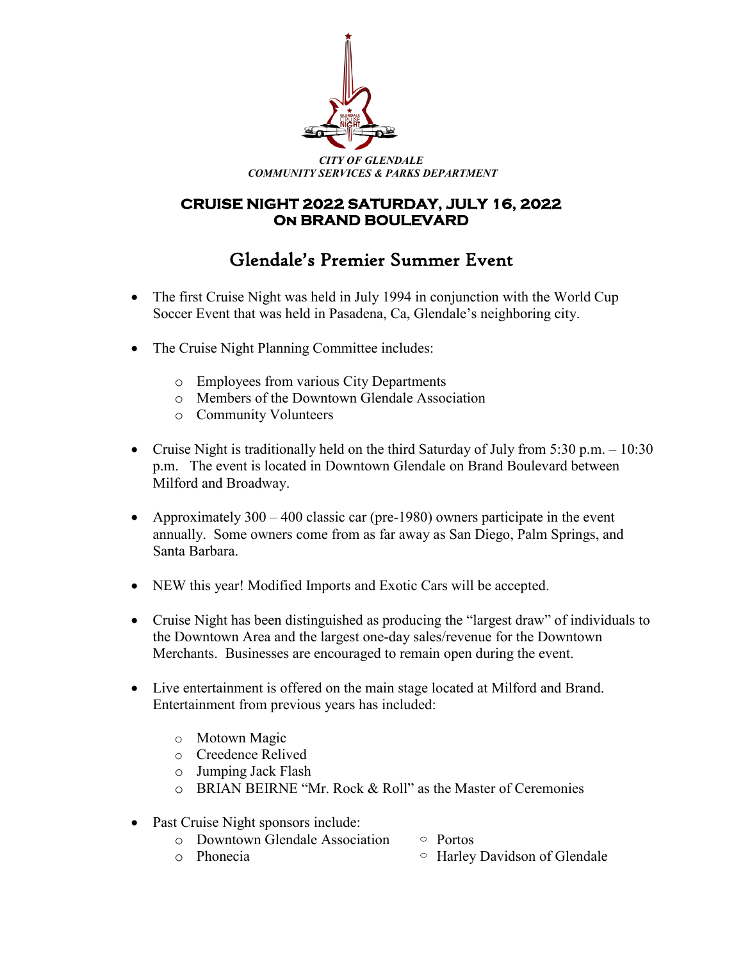

# **CRUISE NIGHT 2022 SATURDAY, JULY 16, 2022 On BRAND BOULEVARD**

# Glendale's Premier Summer Event

- The first Cruise Night was held in July 1994 in conjunction with the World Cup Soccer Event that was held in Pasadena, Ca, Glendale's neighboring city.
- The Cruise Night Planning Committee includes:
	- o Employees from various City Departments
	- o Members of the Downtown Glendale Association
	- o Community Volunteers
- Cruise Night is traditionally held on the third Saturday of July from 5:30 p.m. 10:30 p.m. The event is located in Downtown Glendale on Brand Boulevard between Milford and Broadway.
- Approximately  $300 400$  classic car (pre-1980) owners participate in the event annually. Some owners come from as far away as San Diego, Palm Springs, and Santa Barbara.
- NEW this year! Modified Imports and Exotic Cars will be accepted.
- Cruise Night has been distinguished as producing the "largest draw" of individuals to the Downtown Area and the largest one-day sales/revenue for the Downtown Merchants. Businesses are encouraged to remain open during the event.
- Live entertainment is offered on the main stage located at Milford and Brand. Entertainment from previous years has included:
	- o Motown Magic
	- o Creedence Relived
	- o Jumping Jack Flash
	- o BRIAN BEIRNE "Mr. Rock & Roll" as the Master of Ceremonies
- Past Cruise Night sponsors include:
	- o Downtown Glendale Association  $\circ$  Portos<br>
	o Phonecia  $\circ$  Harley
		- $\circ$  Harley Davidson of Glendale